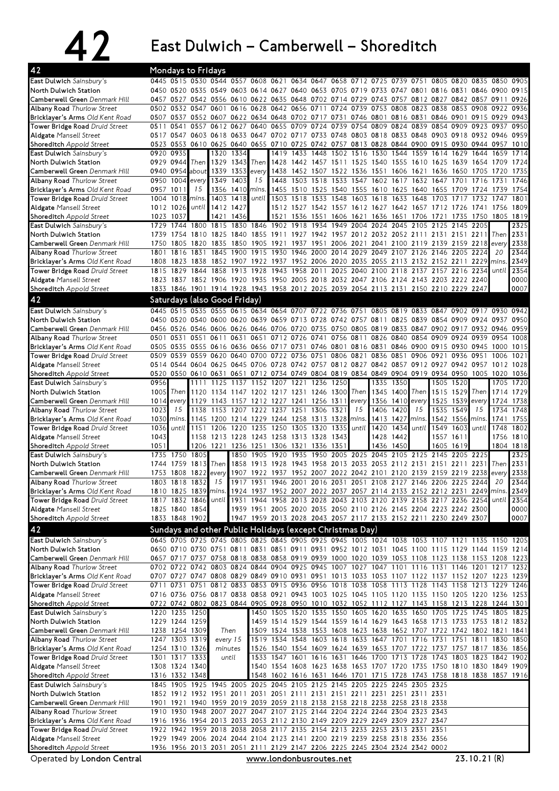## 42 East Dulwich – Camberwell – Shoreditch

| 42                                                                   |              |                                  | Mondays to Fridays                                 |                     |              |             |                                            |                                                                                                                                                                                                  |      |                                                                            |              |           |            |                                    |                   |               |       |                   |
|----------------------------------------------------------------------|--------------|----------------------------------|----------------------------------------------------|---------------------|--------------|-------------|--------------------------------------------|--------------------------------------------------------------------------------------------------------------------------------------------------------------------------------------------------|------|----------------------------------------------------------------------------|--------------|-----------|------------|------------------------------------|-------------------|---------------|-------|-------------------|
| East Dulwich Sainsbury's                                             |              |                                  |                                                    |                     |              |             |                                            | 0445 0515 0530 0544 0557 0608 0621 0634 0647 0658 0712 0725 0739 0751 0805 0820                                                                                                                  |      |                                                                            |              |           |            |                                    |                   | 0835 0850     |       | 0905              |
| North Dulwich Station                                                |              |                                  |                                                    |                     |              |             |                                            | 0450 0520 0535 0549 0603 0614 0627 0640 0653 0705 0719 0733 0747 0801 0816 0831 0846 0900                                                                                                        |      |                                                                            |              |           |            |                                    |                   |               |       | 0915              |
| Camberwell Green Denmark Hill                                        |              |                                  |                                                    |                     |              |             |                                            | 0457 0527 0542 0556 0610 0622 0635 0648 0702 0714 0729 0743 0757 0812 0827 0842 0857 0911<br>0502 0532 0547 0601 0616 0628 0642 0656 0711 0724 0739 0753 0808 0823 0838 0853 0908 0922           |      |                                                                            |              |           |            |                                    |                   |               |       | 0926<br>0936      |
| <b>Albany Road Thurlow Street</b><br>Bricklayer's Arms Old Kent Road |              |                                  |                                                    |                     |              |             |                                            | 0507 0537 0552 0607 0622 0634 0648 0702 0717 0731 0746 0801 0816 0831 0846 0901 0915 0929                                                                                                        |      |                                                                            |              |           |            |                                    |                   |               |       | 0943              |
| Tower Bridge Road Druid Street                                       | 0511         | 0541                             |                                                    | 0557 0612 0627 0640 |              |             |                                            | 0655 0709 0724 0739                                                                                                                                                                              |      | 0754                                                                       |              |           |            | 0809 0824 0839 0854 0909 0923 0937 |                   |               |       | 0950              |
| <b>Aldgate Mansell Street</b>                                        |              |                                  |                                                    |                     |              |             |                                            | 0517 0547 0603 0618 0633 0647 0702 0717 0733 0748 0803 0818 0833 0848 0903 0918 0932 0946                                                                                                        |      |                                                                            |              |           |            |                                    |                   |               |       | 0959              |
| <b>Shoreditch</b> Appold Street                                      |              |                                  |                                                    |                     |              |             |                                            | 0523 0553 0610 0625 0640 0655 0710 0725 0742 0757 0813 0828 0844 0900 0915 0930 0944 0957                                                                                                        |      |                                                                            |              |           |            |                                    |                   |               |       | 1010              |
| East Dulwich Sainsbury's                                             |              | 0920 0935                        |                                                    | 1320                | 1334         |             |                                            | 1419 1433 1448 1502 1516 1530 1544 1559 1614 1629                                                                                                                                                |      |                                                                            |              |           |            |                                    |                   | 1644          | 1659  | 1714              |
| North Dulwich Station                                                |              |                                  | 0929 0944 Then                                     | 1329                | 1343         | <b>Then</b> | 1428                                       | 1442 1457 1511 1525 1540 1555 1610 1625 1639 1654 1709                                                                                                                                           |      |                                                                            |              |           |            |                                    |                   |               |       | 1724              |
| Camberwell Green Denmark Hill<br><b>Albany Road Thurlow Street</b>   | 0950         |                                  | 0940 0954 about 1339 1353 every<br>1004 every 1349 |                     | 1403         | 15          | 1448                                       | 1438 1452 1507 1522 1536 1551 1606 1621 1636 1650 1705 1720<br>1503 1518                                                                                                                         |      | 1533 1547 1602 1617 1632 1647                                              |              |           |            |                                    | 1701              | 1716          | 1731  | 1735<br>1746      |
| Bricklayer's Arms Old Kent Road                                      |              | 0957 1011                        | 15                                                 | 1356                | 1410 mins.   |             |                                            | 1455 1510 1525 1540 1555 1610 1625 1640 1655 1709 1724 1739                                                                                                                                      |      |                                                                            |              |           |            |                                    |                   |               |       | 1754              |
| Tower Bridge Road Druid Street                                       | 1004         | 1018                             | mins.                                              | 1403                |              |             |                                            | 1418 until 1503 1518 1533 1548 1603 1618 1633 1648 1703 1717                                                                                                                                     |      |                                                                            |              |           |            |                                    |                   | 1732 1747     |       | 1801              |
| <b>Aldgate Mansell Street</b>                                        |              | 1012 1026                        | until                                              |                     | 1412 1427    |             |                                            | 1512 1527 1542 1557 1612 1627 1642 1657 1712 1726 1741 1756                                                                                                                                      |      |                                                                            |              |           |            |                                    |                   |               |       | 1809              |
| <b>Shoreditch</b> Appold Street                                      | 1023         | 1037                             |                                                    | 1421                | 1436         |             | 1521                                       | 1536 1551 1606 1621 1636 1651 1706 1721 1735 1750 1805 1819                                                                                                                                      |      |                                                                            |              |           |            |                                    |                   |               |       |                   |
| East Dulwich Sainsbury's                                             | 1729         | $174\overline{4}$                |                                                    | 1800 1815           |              |             |                                            | 1830 1846 1902 1918 1934 1949 2004 2024 2045 2105                                                                                                                                                |      |                                                                            |              |           |            | 2125 2145                          |                   | 2205          |       | 2325              |
| North Dulwich Station<br>Camberwell Green Denmark Hill               | 1750         |                                  |                                                    |                     |              |             |                                            | 1739 1754 1810 1825 1840 1855 1911 1927 1942 1957 2012 2032 2052 2111 2131 2151 2211<br>1805 1820 1835 1850 1905 1921 1937 1951 2006 2021 2041 2100 2119 2139 2159 2218 every                    |      |                                                                            |              |           |            |                                    |                   |               | Then  | 2331<br>2338      |
| <b>Albany Road Thurlow Street</b>                                    | 1801         | 1816                             | 1831                                               | 1845                | 1900         |             |                                            | 1915 1930 1946 2000 2014 2029 2049 2107 2126 2146 2205                                                                                                                                           |      |                                                                            |              |           |            |                                    |                   | 2224          | 20    | 2344              |
| Bricklayer's Arms Old Kent Road                                      |              |                                  |                                                    |                     |              |             |                                            | 1808 1823 1838 1852 1907 1922 1937 1952 2006 2020 2035 2055 2113 2132 2152 2211 2229                                                                                                             |      |                                                                            |              |           |            |                                    |                   |               | mins. | 2349              |
| Tower Bridge Road Druid Street                                       | 1815         | 1829                             | 1844 1858                                          |                     | 1913 1928    |             |                                            | 1943 1958 2011 2025 2040                                                                                                                                                                         |      |                                                                            | 2100         | 2118      |            | 2137 2157                          | 2216              | 2234          | until | 2354              |
| <b>Aldgate Mansell Street</b>                                        |              |                                  |                                                    |                     |              |             |                                            | 1823 1837 1852 1906 1920 1935 1950 2005 2018 2032 2047 2106 2124 2143 2203 2222 2240                                                                                                             |      |                                                                            |              |           |            |                                    |                   |               |       | 0000              |
| <b>Shoreditch</b> Appold Street                                      |              |                                  |                                                    |                     |              |             |                                            | 1833 1846 1901 1914 1928 1943 1958 2012 2025 2039 2054 2113 2131 2150 2210 2229 2247                                                                                                             |      |                                                                            |              |           |            |                                    |                   |               |       | 0007              |
| 42                                                                   |              |                                  | Saturdays (also Good Friday)                       |                     |              |             |                                            |                                                                                                                                                                                                  |      |                                                                            |              |           |            |                                    |                   |               |       |                   |
| East Dulwich Sainsbury's                                             |              |                                  |                                                    |                     |              |             |                                            | 0445 0515 0535 0555 0615 0634 0654 0707 0722 0736 0751 0805 0819 0833 0847 0902 0917 0930 0942                                                                                                   |      |                                                                            |              |           |            |                                    |                   |               |       |                   |
| North Dulwich Station                                                |              |                                  |                                                    |                     |              |             |                                            | 0450 0520 0540 0600 0620 0639 0659 0713 0728 0742 0757 0811 0825 0839 0854 0909 0924 0937 0950                                                                                                   |      |                                                                            |              |           |            |                                    |                   |               |       |                   |
| Camberwell Green Denmark Hill<br><b>Albany Road Thurlow Street</b>   | 0501         | 0531                             |                                                    |                     |              |             |                                            | 0456 0526 0546 0606 0626 0646 0706 0720 0735 0750 0805 0819 0833 0847 0902 0917 0932 0946<br>0551 0611 0631 0651 0712 0726 0741 0756 0811                                                        |      |                                                                            | 0826 0840    |           |            | 0854 0909 0924                     |                   | 0939 0954     |       | 0959<br>1008      |
| Bricklayer's Arms Old Kent Road                                      |              |                                  |                                                    |                     |              |             |                                            | 0505 0535 0555 0616 0636 0656 0717 0731 0746 0801 0816 0831 0846 0900 0915 0930 0945 1000                                                                                                        |      |                                                                            |              |           |            |                                    |                   |               |       | 1015              |
| Tower Bridge Road Druid Street                                       | 0509         |                                  |                                                    |                     |              |             |                                            | 0539 0559 0620 0640 0700 0722 0736 0751 0806 0821 0836 0851 0906 0921 0936 0951                                                                                                                  |      |                                                                            |              |           |            |                                    |                   |               | 1006  | 1021              |
| <b>Aldgate Mansell Street</b>                                        |              |                                  |                                                    |                     |              |             |                                            | 0514 0544 0604 0625 0645 0706 0728 0742 0757 0812 0827 0842 0857 0912 0927 0942 0957 1012 1028                                                                                                   |      |                                                                            |              |           |            |                                    |                   |               |       |                   |
| <b>Shoreditch</b> Appold Street                                      |              |                                  |                                                    |                     |              |             |                                            | 0520 0550 0610 0631 0651 0712 0734 0749 0804 0819 0834 0849 0904 0919 0934 0950 1005 1020 1036                                                                                                   |      |                                                                            |              |           |            |                                    |                   |               |       |                   |
| East Dulwich Sainsbury's                                             | 0956         |                                  |                                                    |                     |              |             | 1111 1125 1137 1152 1207 1221 1236         |                                                                                                                                                                                                  | 1250 |                                                                            | 1335         | 1350      |            | 1505 1520                          |                   |               |       | 1705 1720         |
| North Dulwich Station<br>Camberwell Green Denmark Hill               | 1005<br>1014 |                                  |                                                    |                     |              |             |                                            | Then 1120 1134 1147 1202 1217 1231 1246 1300<br>every 1129 1143 1157 1212 1227 1241 1256 1311                                                                                                    |      | Then<br>every                                                              | 1345<br>1356 | 1400 Then | 1410 every | 1515 1529<br>1525                  | 1539              | Then<br>every | 1724  | 1714 1729<br>1738 |
| Albany Road Thurlow Street                                           | 1023         | 15                               | 1138                                               |                     |              |             | 1153 1207 1222 1237 1251                   | 1306                                                                                                                                                                                             | 1321 | 15                                                                         | 1406         | 1420      | 15         | 1535 1549                          |                   | 15            | 1734  | 1748              |
| Bricklayer's Arms Old Kent Road                                      |              |                                  |                                                    |                     |              |             |                                            | 1030 mins. 1145 1200 1214 1229 1244 1258 1313 1328                                                                                                                                               |      | mins.                                                                      | 1413         | 1427      | mins.      | 1542 1556                          |                   | mins.         | 1741  | 1755              |
| Tower Bridge Road Druid Street                                       | 1036         |                                  | until $1151$                                       | 1206 1220 1235      |              |             | 1250 1305                                  | 1320                                                                                                                                                                                             | 1335 | until                                                                      | 1420         | 1434      | until      | 1549                               | 1603              | until         | 1748  | 1802              |
| <b>Aldgate Mansell Street</b>                                        | 1043         |                                  |                                                    |                     |              |             |                                            | 1158 1213 1228 1243 1258 1313 1328 1343                                                                                                                                                          |      |                                                                            | 1428         | 1442      |            | 1557 1611                          |                   |               |       | 1756 1810         |
| Shoreditch Appold Street                                             | 1051         |                                  | 1206                                               |                     |              |             | 1221 1236 1251 1306 1321 1336<br>1905 1920 |                                                                                                                                                                                                  | 1351 |                                                                            | 1436         | 1450      |            | 1605                               | 1619<br>2205 2225 |               |       | 1804 1818         |
| East Dulwich Sainsbury's<br>North Dulwich Station                    | 1735<br>1744 | 1750<br>1759                     | 1805                                               | 1813 Then           | 1850<br>1858 | 1913 1928   |                                            | 1935 1950<br>1943 1958 2013 2033 2053 2112 2131 2151 2211 2231                                                                                                                                   |      | 2005 2025 2045 2105 2125 2145                                              |              |           |            |                                    |                   |               | Then  | 2325<br>2331      |
| Camberwell Green Denmark Hill                                        |              |                                  |                                                    |                     |              |             |                                            | 1753 1808 1822 every 1907 1922 1937 1952 2007 2022 2042 2101 2120 2139 2159 2219 2238                                                                                                            |      |                                                                            |              |           |            |                                    |                   |               | every | 2338              |
| <b>Albany Road Thurlow Street</b>                                    |              |                                  | 1803 1818 1832                                     |                     |              |             |                                            | 15   1917 1931 1946 2001 2016 2031 2051 2108 2127 2146 2206 2225 2244                                                                                                                            |      |                                                                            |              |           |            |                                    |                   |               | 20    | 2344              |
| Bricklayer's Arms Old Kent Road                                      |              |                                  |                                                    |                     |              |             |                                            | 1810 1825 1839 mins. 1924 1937 1952 2007 2022 2037 2057 2114 2133 2152 2212 2231 2249 mins.                                                                                                      |      |                                                                            |              |           |            |                                    |                   |               |       | 2349              |
| Tower Bridge Road Druid Street                                       |              |                                  |                                                    |                     |              |             |                                            | 1817 1832 1846 until 1931 1944 1958 2013 2028 2043 2103 2120 2139 2158 2217 2236 2254 until                                                                                                      |      |                                                                            |              |           |            |                                    |                   |               |       | 2354              |
| <b>Aldgate Mansell Street</b><br><b>Shoreditch</b> Appold Street     |              |                                  | 1825 1840 1854<br>1833 1848 1902                   |                     |              |             |                                            | 1939 1951 2005 2020 2035 2050 2110 2126 2145 2204 2223 2242 2300                                                                                                                                 |      |                                                                            |              |           |            |                                    |                   |               |       | 0000              |
|                                                                      |              |                                  |                                                    |                     |              |             |                                            | 1947 1959 2013 2028 2043 2057 2117 2133 2152 2211 2230 2249 2307                                                                                                                                 |      |                                                                            |              |           |            |                                    |                   |               |       | 0007              |
| 42                                                                   |              |                                  |                                                    |                     |              |             |                                            | Sundays and other Public Holidays (except Christmas Day)                                                                                                                                         |      |                                                                            |              |           |            |                                    |                   |               |       |                   |
| East Dulwich Sainsbury's<br>North Dulwich Station                    |              |                                  |                                                    |                     |              |             |                                            | 0645 0705 0725 0745 0805 0825 0845 0905 0925 0945 1005 1024 1038 1053 1107 1121 1135 1150 1205<br>0650 0710 0730 0751 0811 0831 0851 0911 0931 0952 1012 1031 1045 1100 1115 1129 1144 1159 1214 |      |                                                                            |              |           |            |                                    |                   |               |       |                   |
| Camberwell Green Denmark Hill                                        |              |                                  |                                                    |                     |              |             |                                            | 0657 0717 0737 0758 0818 0838 0858 0919 0939 1000 1020 1039 1053 1108 1123 1138 1153 1208 1223                                                                                                   |      |                                                                            |              |           |            |                                    |                   |               |       |                   |
| <b>Albany Road Thurlow Street</b>                                    |              |                                  |                                                    |                     |              |             |                                            | 0702 0722 0742 0803 0824 0844 0904 0925 0945 1007 1027 1047 1101 1116 1131 1146 1201 1217 1232                                                                                                   |      |                                                                            |              |           |            |                                    |                   |               |       |                   |
| Bricklayer's Arms Old Kent Road                                      |              |                                  |                                                    |                     |              |             |                                            | 0707 0727 0747 0808 0829 0849 0910 0931 0951 1013 1033 1053 1107 1122 1137 1152 1207 1223 1239                                                                                                   |      |                                                                            |              |           |            |                                    |                   |               |       |                   |
| Tower Bridge Road Druid Street                                       |              | 0711 0731                        |                                                    |                     |              |             |                                            | 0751 0812 0833 0853 0915 0936 0956 1018 1038 1058 1113 1128 1143 1158 1213 1229 1246                                                                                                             |      |                                                                            |              |           |            |                                    |                   |               |       |                   |
| Aldgate Mansell Street                                               |              |                                  |                                                    |                     |              |             |                                            | 0716 0736 0756 0817 0838 0858 0921 0943 1003 1025 1045 1105 1120 1135 1150 1205 1220 1236 1253                                                                                                   |      |                                                                            |              |           |            |                                    |                   |               |       |                   |
| <b>Shoreditch</b> Appold Street<br>East Dulwich Sainsbury's          |              | 1220 1235 1250                   |                                                    |                     |              |             |                                            | 0722 0742 0802 0823 0844 0905 0928 0950 1010 1032 1052 1112 1127 1143 1158 1213 1228 1244 1301<br>1450 1505 1520 1535 1550 1605 1620 1635 1650 1705 1725 1745 1805 1825                          |      |                                                                            |              |           |            |                                    |                   |               |       |                   |
| North Dulwich Station                                                |              | 1229 1244 1259                   |                                                    |                     |              |             |                                            | 1459 1514 1529 1544 1559 1614 1629 1643 1658 1713 1733 1753 1812 1832                                                                                                                            |      |                                                                            |              |           |            |                                    |                   |               |       |                   |
| Camberwell Green Denmark Hill                                        |              | 1238 1254 1309                   |                                                    | Then                |              |             |                                            | 1509 1524 1538 1553 1608 1623 1638 1652 1707 1722 1742 1802 1821 1841                                                                                                                            |      |                                                                            |              |           |            |                                    |                   |               |       |                   |
| <b>Albany Road Thurlow Street</b>                                    |              | 1247 1303 1319                   |                                                    | every 15            |              |             |                                            | 1519 1534 1548 1603 1618 1633 1647 1701 1716 1731 1751 1811 1830 1850                                                                                                                            |      |                                                                            |              |           |            |                                    |                   |               |       |                   |
| Bricklayer's Arms Old Kent Road                                      |              | 1254 1310 1326                   |                                                    | minutes             |              |             |                                            | 1526 1540 1554 1609 1624 1639 1653 1707 1722 1737 1757 1817 1836 1856                                                                                                                            |      |                                                                            |              |           |            |                                    |                   |               |       |                   |
| Tower Bridge Road Druid Street                                       |              | 1301 1317 1333                   |                                                    |                     | until        |             |                                            | 1533 1547 1601 1616 1631 1646 1700 1713 1728 1743 1803 1823 1842 1902                                                                                                                            |      |                                                                            |              |           |            |                                    |                   |               |       |                   |
| <b>Aldgate Mansell Street</b><br><b>Shoreditch</b> Appold Street     |              | 1308 1324 1340<br>1316 1332 1348 |                                                    |                     |              |             |                                            | 1540 1554 1608 1623 1638 1653 1707 1720 1735 1750 1810 1830 1849 1909<br>1548 1602 1616 1631 1646 1701 1715 1728 1743 1758 1818 1838 1857 1916                                                   |      |                                                                            |              |           |            |                                    |                   |               |       |                   |
| East Dulwich Sainsbury's                                             |              |                                  |                                                    |                     |              |             |                                            | 1845 1905 1925 1945 2005 2025 2045 2105 2125 2145 2205 2225 2245 2305 2325                                                                                                                       |      |                                                                            |              |           |            |                                    |                   |               |       |                   |
| North Dulwich Station                                                |              |                                  |                                                    |                     |              |             |                                            | 1852 1912 1932 1951 2011 2031 2051 2111 2131 2151 2211 2231 2251 2311 2331                                                                                                                       |      |                                                                            |              |           |            |                                    |                   |               |       |                   |
| Camberwell Green Denmark Hill                                        |              |                                  |                                                    |                     |              |             |                                            | 1901 1921 1940 1959 2019 2039 2059 2118 2138 2158 2218 2238 2258 2318 2338                                                                                                                       |      |                                                                            |              |           |            |                                    |                   |               |       |                   |
| <b>Albany Road Thurlow Street</b>                                    |              |                                  |                                                    |                     |              |             |                                            | 1910 1930 1948 2007 2027 2047 2107 2125 2144 2204 2224 2244 2304 2323 2343                                                                                                                       |      |                                                                            |              |           |            |                                    |                   |               |       |                   |
| Bricklayer's Arms Old Kent Road<br>Tower Bridge Road Druid Street    |              |                                  |                                                    |                     |              |             |                                            | 1916 1936 1954 2013 2033 2053 2112 2130 2149 2209 2229 2249 2309 2327 2347<br>1922 1942 1959 2018 2038 2058 2117 2135 2154 2213 2233 2253 2313 2331 2351                                         |      |                                                                            |              |           |            |                                    |                   |               |       |                   |
| Aldgate Mansell Street                                               |              |                                  |                                                    |                     |              |             |                                            | 1929 1949 2006 2024 2044 2104 2123 2141 2200 2219 2239 2258 2318 2336 2356                                                                                                                       |      |                                                                            |              |           |            |                                    |                   |               |       |                   |
| Shoreditch Appold Street                                             |              |                                  |                                                    |                     |              |             |                                            |                                                                                                                                                                                                  |      | 1936 1956 2013 2031 2051 2111 2129 2147 2206 2225 2245 2304 2324 2342 0002 |              |           |            |                                    |                   |               |       |                   |

www.londonbusroutes.net